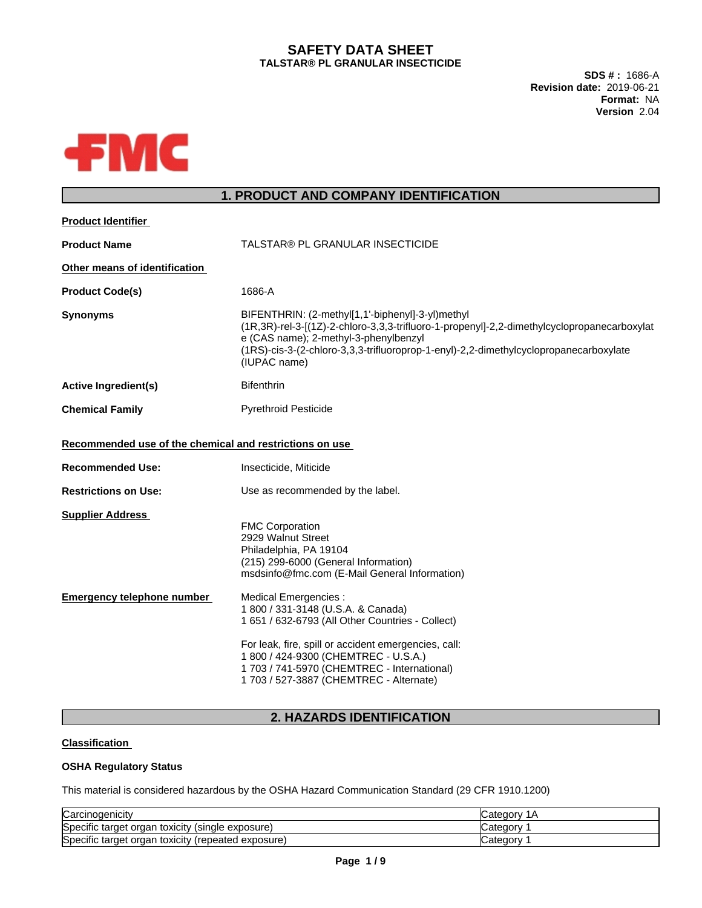# **SAFETY DATA SHEET TALSTAR® PL GRANULAR INSECTICIDE**

**SDS # :** 1686-A **Revision date:** 2019-06-21 **Format:** NA **Version** 2.04



# **1. PRODUCT AND COMPANY IDENTIFICATION**

| <b>Product Identifier</b>                               |                                                                                                                                                                                                                                                                                                           |
|---------------------------------------------------------|-----------------------------------------------------------------------------------------------------------------------------------------------------------------------------------------------------------------------------------------------------------------------------------------------------------|
| <b>Product Name</b>                                     | TALSTAR® PL GRANULAR INSECTICIDE                                                                                                                                                                                                                                                                          |
| Other means of identification                           |                                                                                                                                                                                                                                                                                                           |
| <b>Product Code(s)</b>                                  | 1686-A                                                                                                                                                                                                                                                                                                    |
| <b>Synonyms</b>                                         | BIFENTHRIN: (2-methyl[1,1'-biphenyl]-3-yl)methyl<br>(1R,3R)-rel-3-[(1Z)-2-chloro-3,3,3-trifluoro-1-propenyl]-2,2-dimethylcyclopropanecarboxylat<br>e (CAS name); 2-methyl-3-phenylbenzyl<br>(1RS)-cis-3-(2-chloro-3,3,3-trifluoroprop-1-enyl)-2,2-dimethylcyclopropanecarboxylate<br>(IUPAC name)         |
| <b>Active Ingredient(s)</b>                             | <b>Bifenthrin</b>                                                                                                                                                                                                                                                                                         |
| <b>Chemical Family</b>                                  | <b>Pyrethroid Pesticide</b>                                                                                                                                                                                                                                                                               |
| Recommended use of the chemical and restrictions on use |                                                                                                                                                                                                                                                                                                           |
| <b>Recommended Use:</b>                                 | Insecticide, Miticide                                                                                                                                                                                                                                                                                     |
| <b>Restrictions on Use:</b>                             | Use as recommended by the label.                                                                                                                                                                                                                                                                          |
| <b>Supplier Address</b>                                 | <b>FMC Corporation</b><br>2929 Walnut Street<br>Philadelphia, PA 19104<br>(215) 299-6000 (General Information)<br>msdsinfo@fmc.com (E-Mail General Information)                                                                                                                                           |
| <b>Emergency telephone number</b>                       | Medical Emergencies :<br>1 800 / 331-3148 (U.S.A. & Canada)<br>1 651 / 632-6793 (All Other Countries - Collect)<br>For leak, fire, spill or accident emergencies, call:<br>1 800 / 424-9300 (CHEMTREC - U.S.A.)<br>1 703 / 741-5970 (CHEMTREC - International)<br>1 703 / 527-3887 (CHEMTREC - Alternate) |
|                                                         |                                                                                                                                                                                                                                                                                                           |

# **2. HAZARDS IDENTIFICATION**

## **Classification**

## **OSHA Regulatory Status**

This material is considered hazardous by the OSHA Hazard Communication Standard (29 CFR 1910.1200)

| Carcinogenicity                                       | <b>Category</b><br>1Α |
|-------------------------------------------------------|-----------------------|
| Specific target organ<br>toxicity (single exposure).  | ∵ategorvٽ             |
| Specific target organ<br>toxicity (repeated exposure) | Category              |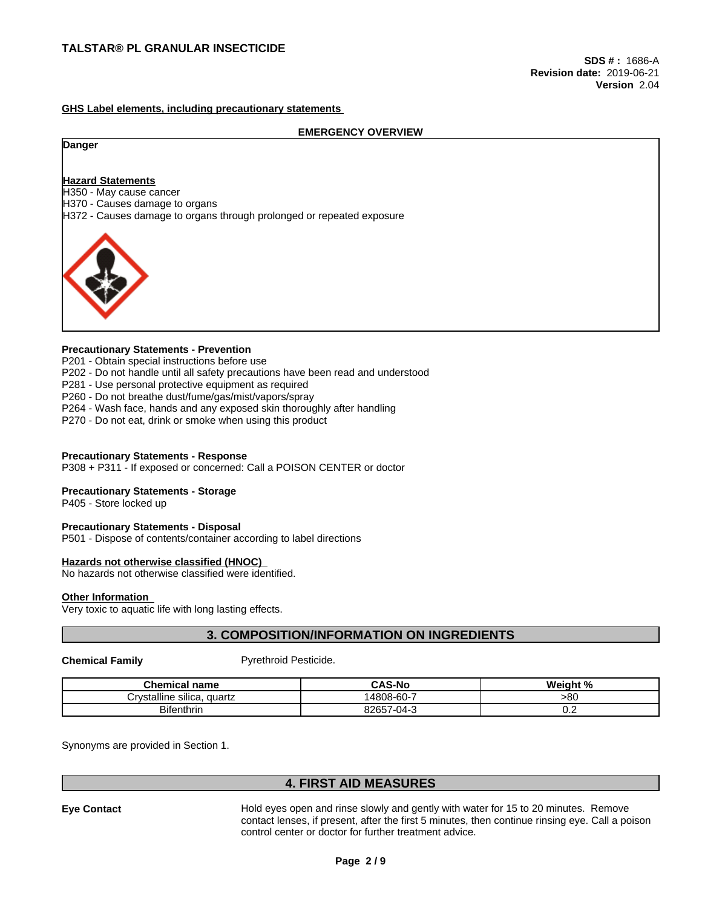#### **GHS Label elements, including precautionary statements**

#### **EMERGENCY OVERVIEW**

#### **Danger**

#### **Hazard Statements**

H350 - May cause cancer

H370 - Causes damage to organs

H372 - Causes damage to organs through prolonged or repeated exposure



#### **Precautionary Statements - Prevention**

P201 - Obtain special instructions before use

- P202 Do not handle until all safety precautions have been read and understood
- P281 Use personal protective equipment as required
- P260 Do not breathe dust/fume/gas/mist/vapors/spray
- P264 Wash face, hands and any exposed skin thoroughly after handling
- P270 Do not eat, drink or smoke when using this product

#### **Precautionary Statements - Response**

P308 + P311 - If exposed or concerned: Call a POISON CENTER or doctor

#### **Precautionary Statements - Storage**

P405 - Store locked up

#### **Precautionary Statements - Disposal**

P501 - Dispose of contents/container according to label directions

#### **Hazards not otherwise classified (HNOC)**

No hazards not otherwise classified were identified.

#### **Other Information**

Very toxic to aquatic life with long lasting effects.

# **3. COMPOSITION/INFORMATION ON INGREDIENTS**

**Chemical Family Pyrethroid Pesticide.** 

| Chemical name                                               | CAS-No                       | $\mathbf{a}$<br>.<br>Veial<br>70 |
|-------------------------------------------------------------|------------------------------|----------------------------------|
| $\cdots$<br><br>'n /et:<br>vstalline silica.<br>quartz<br>. | -60-ر<br>4808-               | >80                              |
| <b>Bifenthrin</b>                                           | 8265<br>04 <sup>2</sup><br>ີ | $\mathsf{v}.\mathsf{c}$          |

Synonyms are provided in Section 1.

# **4. FIRST AID MEASURES**

**Eye Contact** Hold eyes open and rinse slowly and gently with water for 15 to 20 minutes. Remove contact lenses, if present, after the first 5 minutes, then continue rinsing eye. Call a poison control center or doctor for further treatment advice.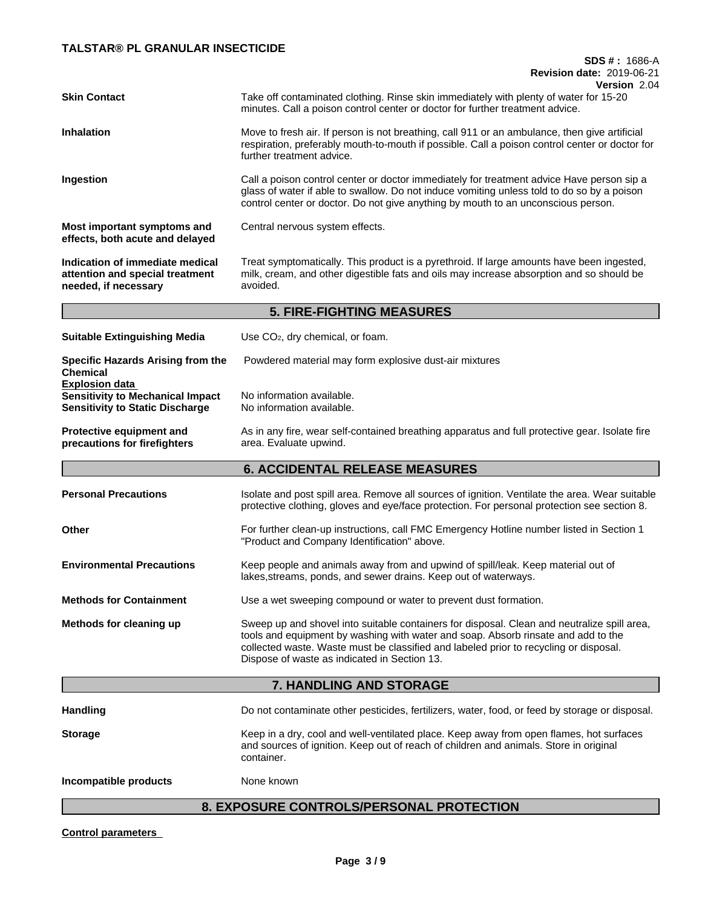# **TALSTAR® PL GRANULAR INSECTICIDE**

# **SDS # :** 1686-A **Revision date:** 2019-06-21

| <b>Skin Contact</b>                                                                                        | Version 2.04<br>Take off contaminated clothing. Rinse skin immediately with plenty of water for 15-20<br>minutes. Call a poison control center or doctor for further treatment advice.                                                                                                                                    |
|------------------------------------------------------------------------------------------------------------|---------------------------------------------------------------------------------------------------------------------------------------------------------------------------------------------------------------------------------------------------------------------------------------------------------------------------|
| <b>Inhalation</b>                                                                                          | Move to fresh air. If person is not breathing, call 911 or an ambulance, then give artificial<br>respiration, preferably mouth-to-mouth if possible. Call a poison control center or doctor for<br>further treatment advice.                                                                                              |
| Ingestion                                                                                                  | Call a poison control center or doctor immediately for treatment advice Have person sip a<br>glass of water if able to swallow. Do not induce vomiting unless told to do so by a poison<br>control center or doctor. Do not give anything by mouth to an unconscious person.                                              |
| Most important symptoms and<br>effects, both acute and delayed                                             | Central nervous system effects.                                                                                                                                                                                                                                                                                           |
| Indication of immediate medical<br>attention and special treatment<br>needed, if necessary                 | Treat symptomatically. This product is a pyrethroid. If large amounts have been ingested,<br>milk, cream, and other digestible fats and oils may increase absorption and so should be<br>avoided.                                                                                                                         |
|                                                                                                            | <b>5. FIRE-FIGHTING MEASURES</b>                                                                                                                                                                                                                                                                                          |
| <b>Suitable Extinguishing Media</b>                                                                        | Use CO <sub>2</sub> , dry chemical, or foam.                                                                                                                                                                                                                                                                              |
| <b>Specific Hazards Arising from the</b><br><b>Chemical</b>                                                | Powdered material may form explosive dust-air mixtures                                                                                                                                                                                                                                                                    |
| <b>Explosion data</b><br><b>Sensitivity to Mechanical Impact</b><br><b>Sensitivity to Static Discharge</b> | No information available.<br>No information available.                                                                                                                                                                                                                                                                    |
| <b>Protective equipment and</b><br>precautions for firefighters                                            | As in any fire, wear self-contained breathing apparatus and full protective gear. Isolate fire<br>area. Evaluate upwind.                                                                                                                                                                                                  |
|                                                                                                            | <b>6. ACCIDENTAL RELEASE MEASURES</b>                                                                                                                                                                                                                                                                                     |
| <b>Personal Precautions</b>                                                                                | Isolate and post spill area. Remove all sources of ignition. Ventilate the area. Wear suitable<br>protective clothing, gloves and eye/face protection. For personal protection see section 8.                                                                                                                             |
| Other                                                                                                      | For further clean-up instructions, call FMC Emergency Hotline number listed in Section 1<br>"Product and Company Identification" above.                                                                                                                                                                                   |
| <b>Environmental Precautions</b>                                                                           | Keep people and animals away from and upwind of spill/leak. Keep material out of<br>lakes, streams, ponds, and sewer drains. Keep out of waterways.                                                                                                                                                                       |
| <b>Methods for Containment</b>                                                                             | Use a wet sweeping compound or water to prevent dust formation.                                                                                                                                                                                                                                                           |
| Methods for cleaning up                                                                                    | Sweep up and shovel into suitable containers for disposal. Clean and neutralize spill area,<br>tools and equipment by washing with water and soap. Absorb rinsate and add to the<br>collected waste. Waste must be classified and labeled prior to recycling or disposal.<br>Dispose of waste as indicated in Section 13. |
|                                                                                                            | 7. HANDLING AND STORAGE                                                                                                                                                                                                                                                                                                   |
| <b>Handling</b>                                                                                            | Do not contaminate other pesticides, fertilizers, water, food, or feed by storage or disposal.                                                                                                                                                                                                                            |
| <b>Storage</b>                                                                                             | Keep in a dry, cool and well-ventilated place. Keep away from open flames, hot surfaces<br>and sources of ignition. Keep out of reach of children and animals. Store in original<br>container.                                                                                                                            |
| Incompatible products                                                                                      | None known                                                                                                                                                                                                                                                                                                                |

# **8. EXPOSURE CONTROLS/PERSONAL PROTECTION**

**Control parameters**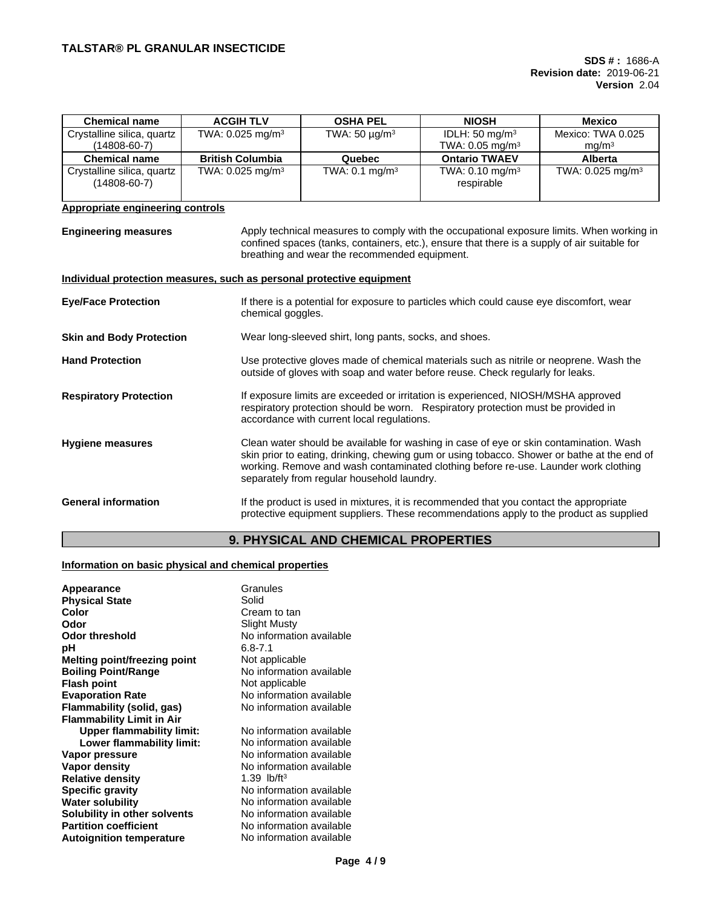| <b>Chemical name</b>                                                  | <b>ACGIH TLV</b>               | <b>OSHA PEL</b>                                        | <b>NIOSH</b>                                                                                                                                                                                                                                                                 | <b>Mexico</b>                          |
|-----------------------------------------------------------------------|--------------------------------|--------------------------------------------------------|------------------------------------------------------------------------------------------------------------------------------------------------------------------------------------------------------------------------------------------------------------------------------|----------------------------------------|
| Crystalline silica, quartz<br>$(14808 - 60 - 7)$                      | TWA: $0.025$ mg/m <sup>3</sup> | TWA: $50 \mu g/m^3$                                    | IDLH: 50 mg/m <sup>3</sup><br>TWA: $0.05$ mg/m <sup>3</sup>                                                                                                                                                                                                                  | Mexico: TWA 0.025<br>mg/m <sup>3</sup> |
| <b>Chemical name</b>                                                  | <b>British Columbia</b>        | Quebec                                                 | <b>Ontario TWAEV</b>                                                                                                                                                                                                                                                         | Alberta                                |
| Crystalline silica, quartz<br>$(14808 - 60 - 7)$                      | TWA: $0.025$ mg/m <sup>3</sup> | TWA: $0.1 \text{ mg/m}^3$                              | TWA: $0.10$ mg/m <sup>3</sup><br>respirable                                                                                                                                                                                                                                  | TWA: $0.025$ mg/m <sup>3</sup>         |
| Appropriate engineering controls                                      |                                |                                                        |                                                                                                                                                                                                                                                                              |                                        |
| <b>Engineering measures</b>                                           |                                | breathing and wear the recommended equipment.          | Apply technical measures to comply with the occupational exposure limits. When working in<br>confined spaces (tanks, containers, etc.), ensure that there is a supply of air suitable for                                                                                    |                                        |
| Individual protection measures, such as personal protective equipment |                                |                                                        |                                                                                                                                                                                                                                                                              |                                        |
| <b>Eye/Face Protection</b>                                            | chemical goggles.              |                                                        | If there is a potential for exposure to particles which could cause eye discomfort, wear                                                                                                                                                                                     |                                        |
| <b>Skin and Body Protection</b>                                       |                                | Wear long-sleeved shirt, long pants, socks, and shoes. |                                                                                                                                                                                                                                                                              |                                        |
| <b>Hand Protection</b>                                                |                                |                                                        | Use protective gloves made of chemical materials such as nitrile or neoprene. Wash the<br>outside of gloves with soap and water before reuse. Check regularly for leaks.                                                                                                     |                                        |
| <b>Respiratory Protection</b>                                         |                                | accordance with current local regulations.             | If exposure limits are exceeded or irritation is experienced, NIOSH/MSHA approved<br>respiratory protection should be worn. Respiratory protection must be provided in                                                                                                       |                                        |
| <b>Hygiene measures</b>                                               |                                | separately from regular household laundry.             | Clean water should be available for washing in case of eye or skin contamination. Wash<br>skin prior to eating, drinking, chewing gum or using tobacco. Shower or bathe at the end of<br>working. Remove and wash contaminated clothing before re-use. Launder work clothing |                                        |
| <b>General information</b>                                            |                                |                                                        | If the product is used in mixtures, it is recommended that you contact the appropriate<br>protective equipment suppliers. These recommendations apply to the product as supplied                                                                                             |                                        |

# **9. PHYSICAL AND CHEMICAL PROPERTIES**

## **Information on basic physical and chemical properties**

| Appearance                       | Granules                 |
|----------------------------------|--------------------------|
| <b>Physical State</b>            | Solid                    |
| Color                            | Cream to tan             |
| Odor                             | Slight Musty             |
| <b>Odor threshold</b>            | No information available |
| рH                               | $6.8 - 7.1$              |
| Melting point/freezing point     | Not applicable           |
| <b>Boiling Point/Range</b>       | No information available |
| <b>Flash point</b>               | Not applicable           |
| <b>Evaporation Rate</b>          | No information available |
| Flammability (solid, gas)        | No information available |
| <b>Flammability Limit in Air</b> |                          |
| <b>Upper flammability limit:</b> | No information available |
| Lower flammability limit:        | No information available |
| Vapor pressure                   | No information available |
| Vapor density                    | No information available |
| <b>Relative density</b>          | 1.39 $lb/ft^3$           |
| <b>Specific gravity</b>          | No information available |
| <b>Water solubility</b>          | No information available |
| Solubility in other solvents     | No information available |
| <b>Partition coefficient</b>     | No information available |
| <b>Autoignition temperature</b>  | No information available |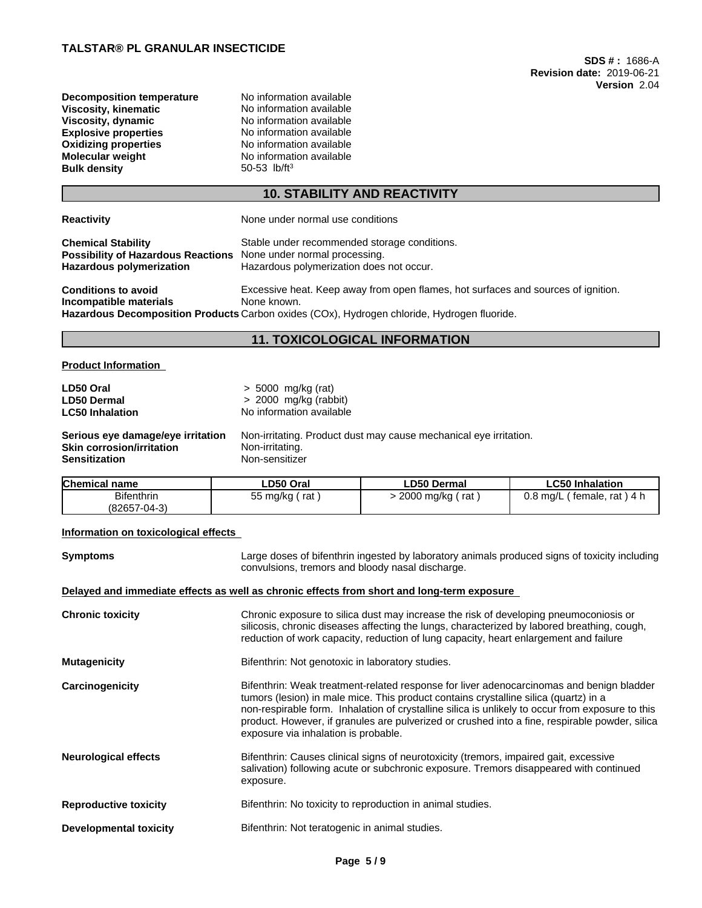| <b>Decomposition temperature</b> |
|----------------------------------|
| Viscosity, kinematic             |
| Viscosity, dynamic               |
| <b>Explosive properties</b>      |
| <b>Oxidizing properties</b>      |
| <b>Molecular weight</b>          |
| <b>Bulk density</b>              |
|                                  |

**No information available Viscosity, kinematic** No information available **Viscosity, dynamic** No information available **No information available No information available No information available Bulk density** 50-53 lb/ft<sup>3</sup>

# **10. STABILITY AND REACTIVITY**

| <b>Reactivity</b>                                                                                                                | None under normal use conditions                                                                                                                                                                |
|----------------------------------------------------------------------------------------------------------------------------------|-------------------------------------------------------------------------------------------------------------------------------------------------------------------------------------------------|
| <b>Chemical Stability</b><br><b>Possibility of Hazardous Reactions</b> None under normal processing.<br>Hazardous polymerization | Stable under recommended storage conditions.<br>Hazardous polymerization does not occur.                                                                                                        |
| <b>Conditions to avoid</b><br>Incompatible materials                                                                             | Excessive heat. Keep away from open flames, hot surfaces and sources of ignition.<br>None known.<br>Hazardous Decomposition Products Carbon oxides (COx), Hydrogen chloride, Hydrogen fluoride. |

# **11. TOXICOLOGICAL INFORMATION**

## **Product Information**

| LD50 Oral                         | $> 5000$ mg/kg (rat)                                              |
|-----------------------------------|-------------------------------------------------------------------|
| <b>LD50 Dermal</b>                | $> 2000$ mg/kg (rabbit)                                           |
| <b>LC50 Inhalation</b>            | No information available                                          |
| Serious eye damage/eye irritation | Non-irritating. Product dust may cause mechanical eye irritation. |
| Skin corrosion/irritation         | Non-irritating.                                                   |
| Sensitization                     | Non-sensitizer                                                    |

| <b>Bifenthrin</b><br>2000 mg/kg<br>$0.8$ ma/L<br>rat ) 4 h<br>55 mg/kg<br>rat<br>rat<br>female.<br>(82657-04-3) | <b>Chemical name</b> | ∟D50 Oral | <b>LD50 Dermal</b> | ∟C50 Inhalation |
|-----------------------------------------------------------------------------------------------------------------|----------------------|-----------|--------------------|-----------------|
|                                                                                                                 |                      |           |                    |                 |

## **Information on toxicological effects**

| <b>Symptoms</b>              | Large doses of bifenthrin ingested by laboratory animals produced signs of toxicity including<br>convulsions, tremors and bloody nasal discharge.                                                                                                                                                                                                                                                                              |
|------------------------------|--------------------------------------------------------------------------------------------------------------------------------------------------------------------------------------------------------------------------------------------------------------------------------------------------------------------------------------------------------------------------------------------------------------------------------|
|                              | Delayed and immediate effects as well as chronic effects from short and long-term exposure                                                                                                                                                                                                                                                                                                                                     |
| <b>Chronic toxicity</b>      | Chronic exposure to silica dust may increase the risk of developing pneumoconiosis or<br>silicosis, chronic diseases affecting the lungs, characterized by labored breathing, cough,<br>reduction of work capacity, reduction of lung capacity, heart enlargement and failure                                                                                                                                                  |
| <b>Mutagenicity</b>          | Bifenthrin: Not genotoxic in laboratory studies.                                                                                                                                                                                                                                                                                                                                                                               |
| Carcinogenicity              | Bifenthrin: Weak treatment-related response for liver adenocarcinomas and benign bladder<br>tumors (lesion) in male mice. This product contains crystalline silica (quartz) in a<br>non-respirable form. Inhalation of crystalline silica is unlikely to occur from exposure to this<br>product. However, if granules are pulverized or crushed into a fine, respirable powder, silica<br>exposure via inhalation is probable. |
| <b>Neurological effects</b>  | Bifenthrin: Causes clinical signs of neurotoxicity (tremors, impaired gait, excessive<br>salivation) following acute or subchronic exposure. Tremors disappeared with continued<br>exposure.                                                                                                                                                                                                                                   |
| <b>Reproductive toxicity</b> | Bifenthrin: No toxicity to reproduction in animal studies.                                                                                                                                                                                                                                                                                                                                                                     |
| Developmental toxicity       | Bifenthrin: Not teratogenic in animal studies.                                                                                                                                                                                                                                                                                                                                                                                 |
|                              |                                                                                                                                                                                                                                                                                                                                                                                                                                |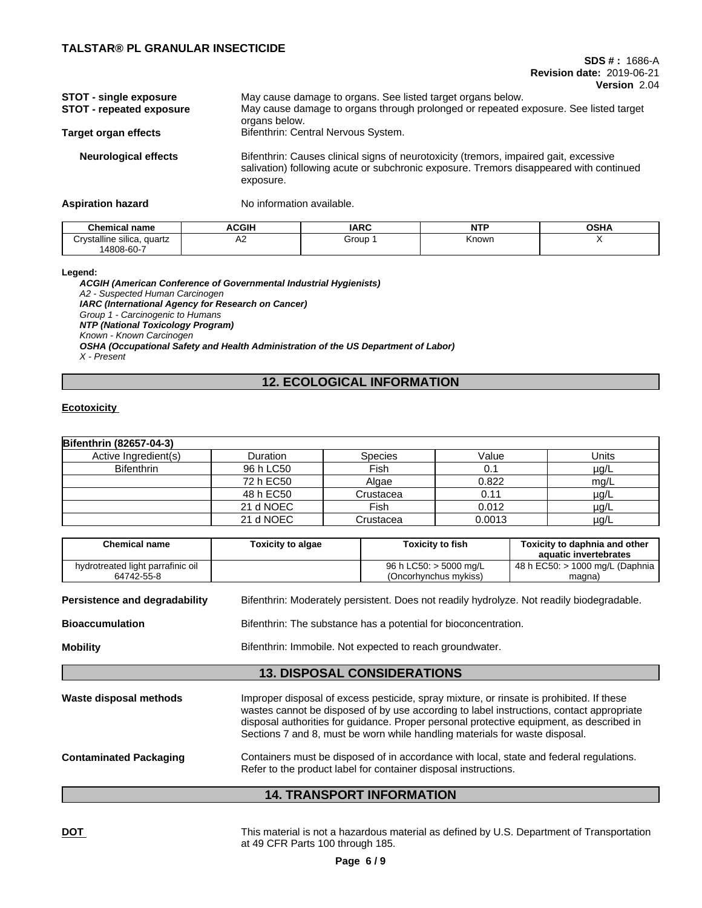#### **SDS # :** 1686-A **Revision date:** 2019-06-21 **Version** 2.04

| <b>STOT - single exposure</b><br><b>STOT - repeated exposure</b> | May cause damage to organs. See listed target organs below.<br>May cause damage to organs through prolonged or repeated exposure. See listed target<br>organs below.                         |
|------------------------------------------------------------------|----------------------------------------------------------------------------------------------------------------------------------------------------------------------------------------------|
| Target organ effects                                             | Bifenthrin: Central Nervous System.                                                                                                                                                          |
| <b>Neurological effects</b>                                      | Bifenthrin: Causes clinical signs of neurotoxicity (tremors, impaired gait, excessive<br>salivation) following acute or subchronic exposure. Tremors disappeared with continued<br>exposure. |

**Aspiration hazard** No information available.

| Chemical name                             | <b>ACGIH</b> | <b>IARC</b> | .     | <b>OCUA</b><br>שסט |
|-------------------------------------------|--------------|-------------|-------|--------------------|
| $\cdots$<br>`rvstalline silica.<br>quartz | ∼            | Group       | Known |                    |
| 14808-60-7                                |              |             |       |                    |

**Legend:**

*ACGIH (American Conference of Governmental Industrial Hygienists) A2 - Suspected Human Carcinogen IARC (International Agency for Research on Cancer) Group 1 - Carcinogenic to Humans NTP (National Toxicology Program) Known - Known Carcinogen OSHA (Occupational Safety and Health Administration of the US Department of Labor) X - Present*

# **12. ECOLOGICAL INFORMATION**

### **Ecotoxicity**

| <b>Bifenthrin (82657-04-3)</b> |           |                |        |           |
|--------------------------------|-----------|----------------|--------|-----------|
| Active Ingredient(s)           | Duration  | <b>Species</b> | Value  | Units     |
| <b>Bifenthrin</b>              | 96 h LC50 | Fish           | 0.1    | $\mu$ g/L |
|                                | 72 h EC50 | Algae          | 0.822  | mg/L      |
|                                | 48 h EC50 | Crustacea      | 0.11   | $\mu$ g/L |
|                                | 21 d NOEC | Fish           | 0.012  | $\mu$ g/L |
|                                | 21 d NOEC | Crustacea      | 0.0013 | $\mu$ g/L |

| <b>Chemical name</b>                            | <b>Toxicity to algae</b> | <b>Toxicity to fish</b>                                                                                                                                                                                                                                                                                                                                         | Toxicity to daphnia and other<br>aquatic invertebrates |  |  |  |
|-------------------------------------------------|--------------------------|-----------------------------------------------------------------------------------------------------------------------------------------------------------------------------------------------------------------------------------------------------------------------------------------------------------------------------------------------------------------|--------------------------------------------------------|--|--|--|
| hydrotreated light parrafinic oil<br>64742-55-8 |                          | 96 h LC50: > 5000 mg/L<br>(Oncorhynchus mykiss)                                                                                                                                                                                                                                                                                                                 | 48 h EC50: > 1000 mg/L (Daphnia<br>magna)              |  |  |  |
| Persistence and degradability                   |                          | Bifenthrin: Moderately persistent. Does not readily hydrolyze. Not readily biodegradable.                                                                                                                                                                                                                                                                       |                                                        |  |  |  |
| <b>Bioaccumulation</b>                          |                          | Bifenthrin: The substance has a potential for bioconcentration.                                                                                                                                                                                                                                                                                                 |                                                        |  |  |  |
| <b>Mobility</b>                                 |                          | Bifenthrin: Immobile. Not expected to reach groundwater.                                                                                                                                                                                                                                                                                                        |                                                        |  |  |  |
|                                                 |                          | <b>13. DISPOSAL CONSIDERATIONS</b>                                                                                                                                                                                                                                                                                                                              |                                                        |  |  |  |
| Waste disposal methods                          |                          | Improper disposal of excess pesticide, spray mixture, or rinsate is prohibited. If these<br>wastes cannot be disposed of by use according to label instructions, contact appropriate<br>disposal authorities for guidance. Proper personal protective equipment, as described in<br>Sections 7 and 8, must be worn while handling materials for waste disposal. |                                                        |  |  |  |
| <b>Contaminated Packaging</b>                   |                          | Containers must be disposed of in accordance with local, state and federal regulations.<br>Refer to the product label for container disposal instructions.                                                                                                                                                                                                      |                                                        |  |  |  |
|                                                 |                          | <b>14. TRANSPORT INFORMATION</b>                                                                                                                                                                                                                                                                                                                                |                                                        |  |  |  |

**DOT** This material is not a hazardous material as defined by U.S. Department of Transportation at 49 CFR Parts 100 through 185.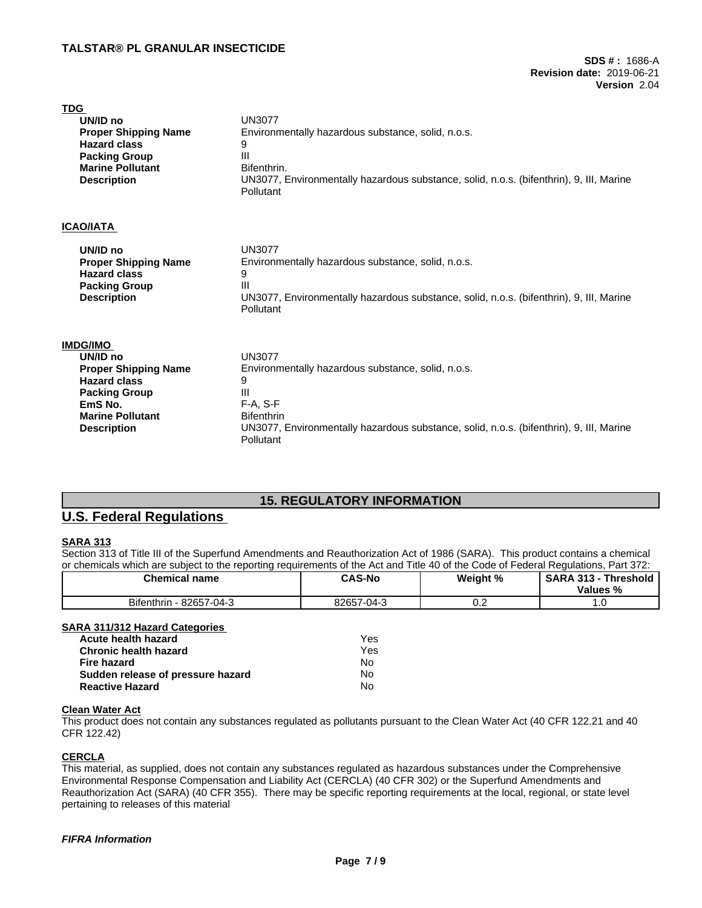| <b>TDG</b>                                      |                                                                                         |
|-------------------------------------------------|-----------------------------------------------------------------------------------------|
| UN/ID no                                        | <b>UN3077</b>                                                                           |
| <b>Proper Shipping Name</b>                     | Environmentally hazardous substance, solid, n.o.s.                                      |
| <b>Hazard class</b>                             | 9                                                                                       |
| <b>Packing Group</b><br><b>Marine Pollutant</b> | Ш<br>Bifenthrin.                                                                        |
| <b>Description</b>                              | UN3077, Environmentally hazardous substance, solid, n.o.s. (bifenthrin), 9, III, Marine |
|                                                 | Pollutant                                                                               |
|                                                 |                                                                                         |
| <b>ICAO/IATA</b>                                |                                                                                         |
| UN/ID no                                        | <b>UN3077</b>                                                                           |
| <b>Proper Shipping Name</b>                     | Environmentally hazardous substance, solid, n.o.s.                                      |
| <b>Hazard class</b>                             | 9                                                                                       |
| <b>Packing Group</b>                            | Ш                                                                                       |
| <b>Description</b>                              | UN3077, Environmentally hazardous substance, solid, n.o.s. (bifenthrin), 9, III, Marine |
|                                                 | Pollutant                                                                               |
| <b>IMDG/IMO</b>                                 |                                                                                         |
| UN/ID no                                        | <b>UN3077</b>                                                                           |
| <b>Proper Shipping Name</b>                     | Environmentally hazardous substance, solid, n.o.s.                                      |
| <b>Hazard class</b>                             | 9                                                                                       |
| <b>Packing Group</b>                            | Ш                                                                                       |
| EmS No.                                         | $F-A, S-F$                                                                              |
| <b>Marine Pollutant</b>                         | <b>Bifenthrin</b>                                                                       |
| <b>Description</b>                              | UN3077, Environmentally hazardous substance, solid, n.o.s. (bifenthrin), 9, III, Marine |
|                                                 | Pollutant                                                                               |

# **15. REGULATORY INFORMATION**

# **U.S. Federal Regulations**

# **SARA 313**

Section 313 of Title III of the Superfund Amendments and Reauthorization Act of 1986 (SARA). This product contains a chemical or chemicals which are subject to the reporting requirements of the Act and Title 40 of the Code of Federal Regulations, Part 372:

| <b>Chemical name</b>                                                                  | <b>CAS-No</b>    | Weight % | SARA 313 - Threshold<br>Values % |
|---------------------------------------------------------------------------------------|------------------|----------|----------------------------------|
| Bifenthrin - 82657-04-3                                                               | 82657-04-3       | 0.2      |                                  |
| <b>SARA 311/312 Hazard Categories</b><br>Acute health hazard<br>Chronic health hazard | Yes<br>Yes<br>No |          |                                  |
| Fire hazard<br>Sudden release of pressure hazard                                      | No               |          |                                  |
| <b>Reactive Hazard</b>                                                                | No               |          |                                  |

### **Clean Water Act**

This product does not contain any substances regulated as pollutants pursuant to the Clean Water Act (40 CFR 122.21 and 40 CFR 122.42)

### **CERCLA**

This material, as supplied, does not contain any substances regulated as hazardous substances under the Comprehensive Environmental Response Compensation and Liability Act (CERCLA) (40 CFR 302) or the Superfund Amendments and Reauthorization Act (SARA) (40 CFR 355). There may be specific reporting requirements at the local, regional, or state level pertaining to releases of this material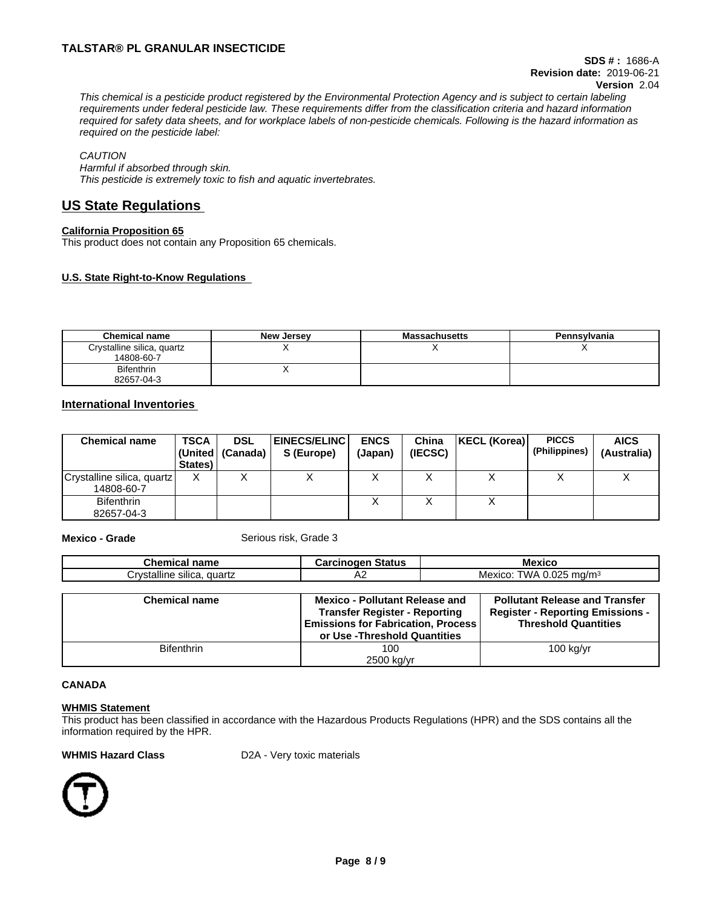# **TALSTAR® PL GRANULAR INSECTICIDE**

This chemical is a pesticide product registered by the Environmental Protection Agency and is subject to certain labeling requirements under federal pesticide law. These requirements differ from the classification criteria and hazard information required for safety data sheets, and for workplace labels of non-pesticide chemicals. Following is the hazard information as *required on the pesticide label:*

### *CAUTION*

*Harmful if absorbed through skin. This pesticide is extremely toxic to fish and aquatic invertebrates.*

# **US State Regulations**

### **California Proposition 65**

This product does not contain any Proposition 65 chemicals.

## **U.S. State Right-to-Know Regulations**

| <b>Chemical name</b>                     | New Jersey | <b>Massachusetts</b> | Pennsylvania |
|------------------------------------------|------------|----------------------|--------------|
| Crystalline silica, quartz<br>14808-60-7 |            |                      |              |
| <b>Bifenthrin</b><br>82657-04-3          |            |                      |              |

# **International Inventories**

| <b>Chemical name</b>                     | <b>TSCA</b><br>States) | <b>DSL</b><br> (United   (Canada) | <b>EINECS/ELINC  </b><br>S (Europe) | <b>ENCS</b><br>(Japan) | China<br>(IECSC) | KECL (Korea) | <b>PICCS</b><br>(Philippines) | <b>AICS</b><br>(Australia) |
|------------------------------------------|------------------------|-----------------------------------|-------------------------------------|------------------------|------------------|--------------|-------------------------------|----------------------------|
| Crystalline silica, quartz<br>14808-60-7 | $\checkmark$<br>Λ      |                                   |                                     |                        |                  |              |                               |                            |
| <b>Bifenthrin</b><br>82657-04-3          |                        |                                   |                                     |                        |                  |              |                               |                            |

**Mexico - Grade** Serious risk, Grade 3

| <b>Chemical name</b>       | <b>Carcinogen Status</b>                                                          | <b>Mexico</b>                                                          |  |
|----------------------------|-----------------------------------------------------------------------------------|------------------------------------------------------------------------|--|
| Crystalline silica, quartz | A2                                                                                | Mexico: TWA 0.025 mg/m <sup>3</sup>                                    |  |
|                            |                                                                                   |                                                                        |  |
| <b>Chemical name</b>       | <b>Mexico - Pollutant Release and</b>                                             | <b>Pollutant Release and Transfer</b>                                  |  |
|                            | <b>Transfer Register - Reporting</b><br><b>Emissions for Fabrication, Process</b> | <b>Register - Reporting Emissions -</b><br><b>Threshold Quantities</b> |  |
|                            | or Use - Threshold Quantities                                                     |                                                                        |  |
| <b>Bifenthrin</b>          | 100                                                                               | $100$ kg/yr                                                            |  |
|                            | 2500 kg/yr                                                                        |                                                                        |  |

#### **CANADA**

#### **WHMIS Statement**

This product has been classified in accordance with the Hazardous Products Regulations (HPR) and the SDS contains all the information required by the HPR.

**WHMIS Hazard Class** D2A - Very toxic materials